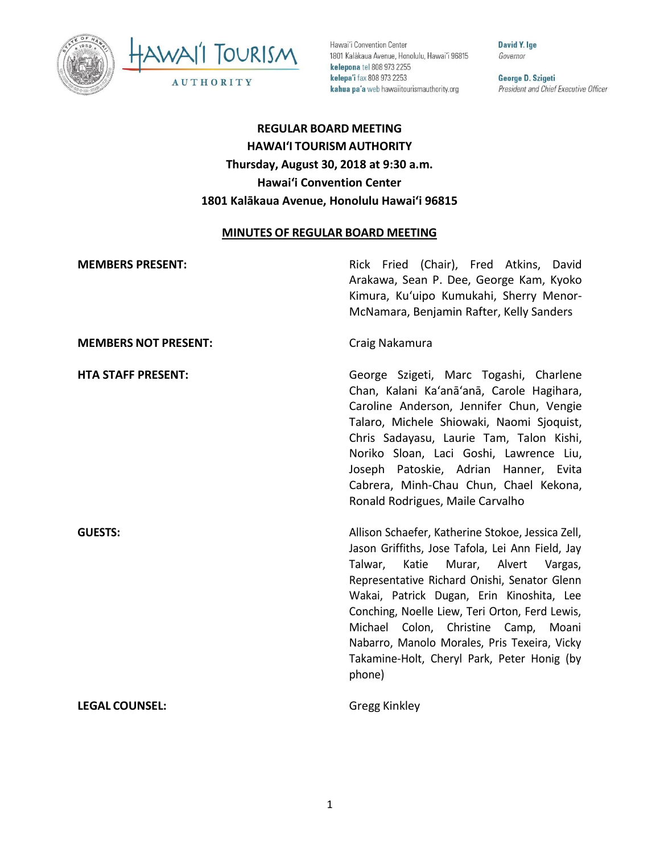



Hawai'i Convention Center 1801 Kalākaua Avenue, Honolulu, Hawai'i 96815 kelepona tel 808 973 2255 kelepa'i fax 808 973 2253 kahua pa'a web hawaiitourismauthority.org

David Y. Ige Governor

George D. Szigeti President and Chief Executive Officer

# **REGULAR BOARD MEETING HAWAI'I TOURISM AUTHORITY Thursday, August 30, 2018 at 9:30 a.m. Hawai'i Convention Center 1801 Kalākaua Avenue, Honolulu Hawaiʻi 96815**

# **MINUTES OF REGULAR BOARD MEETING**

| <b>MEMBERS PRESENT:</b>     | Rick Fried (Chair), Fred Atkins, David<br>Arakawa, Sean P. Dee, George Kam, Kyoko<br>Kimura, Ku'uipo Kumukahi, Sherry Menor-<br>McNamara, Benjamin Rafter, Kelly Sanders                                                                                                                                                                                                                                                                              |
|-----------------------------|-------------------------------------------------------------------------------------------------------------------------------------------------------------------------------------------------------------------------------------------------------------------------------------------------------------------------------------------------------------------------------------------------------------------------------------------------------|
| <b>MEMBERS NOT PRESENT:</b> | Craig Nakamura                                                                                                                                                                                                                                                                                                                                                                                                                                        |
| <b>HTA STAFF PRESENT:</b>   | George Szigeti, Marc Togashi, Charlene<br>Chan, Kalani Ka'anā'anā, Carole Hagihara,<br>Caroline Anderson, Jennifer Chun, Vengie<br>Talaro, Michele Shiowaki, Naomi Sjoquist,<br>Chris Sadayasu, Laurie Tam, Talon Kishi,<br>Noriko Sloan, Laci Goshi, Lawrence Liu,<br>Joseph Patoskie, Adrian Hanner, Evita<br>Cabrera, Minh-Chau Chun, Chael Kekona,<br>Ronald Rodrigues, Maile Carvalho                                                            |
| <b>GUESTS:</b>              | Allison Schaefer, Katherine Stokoe, Jessica Zell,<br>Jason Griffiths, Jose Tafola, Lei Ann Field, Jay<br>Katie<br>Murar, Alvert<br>Talwar,<br>Vargas,<br>Representative Richard Onishi, Senator Glenn<br>Wakai, Patrick Dugan, Erin Kinoshita, Lee<br>Conching, Noelle Liew, Teri Orton, Ferd Lewis,<br>Michael Colon, Christine Camp, Moani<br>Nabarro, Manolo Morales, Pris Texeira, Vicky<br>Takamine-Holt, Cheryl Park, Peter Honig (by<br>phone) |
| <b>LEGAL COUNSEL:</b>       | Gregg Kinkley                                                                                                                                                                                                                                                                                                                                                                                                                                         |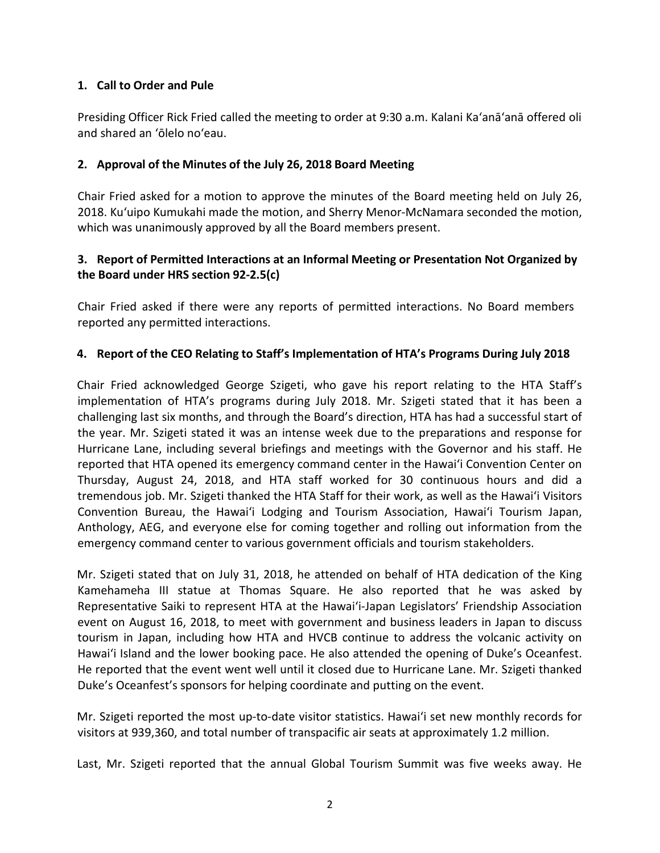### **1. Call to Order and Pule**

Presiding Officer Rick Fried called the meeting to order at 9:30 a.m. Kalani Ka'anā'anā offered oli and shared an 'ōlelo no'eau.

#### **2. Approval of the Minutes of the July 26, 2018 Board Meeting**

Chair Fried asked for a motion to approve the minutes of the Board meeting held on July 26, 2018. Ku'uipo Kumukahi made the motion, and Sherry Menor-McNamara seconded the motion, which was unanimously approved by all the Board members present.

# **3. Report of Permitted Interactions at an Informal Meeting or Presentation Not Organized by the Board under HRS section 92-2.5(c)**

Chair Fried asked if there were any reports of permitted interactions. No Board members reported any permitted interactions.

#### **4. Report of the CEO Relating to Staff's Implementation of HTA's Programs During July 2018**

Chair Fried acknowledged George Szigeti, who gave his report relating to the HTA Staff's implementation of HTA's programs during July 2018. Mr. Szigeti stated that it has been a challenging last six months, and through the Board's direction, HTA has had a successful start of the year. Mr. Szigeti stated it was an intense week due to the preparations and response for Hurricane Lane, including several briefings and meetings with the Governor and his staff. He reported that HTA opened its emergency command center in the Hawai'i Convention Center on Thursday, August 24, 2018, and HTA staff worked for 30 continuous hours and did a tremendous job. Mr. Szigeti thanked the HTA Staff for their work, as well as the Hawai'i Visitors Convention Bureau, the Hawai'i Lodging and Tourism Association, Hawai'i Tourism Japan, Anthology, AEG, and everyone else for coming together and rolling out information from the emergency command center to various government officials and tourism stakeholders.

Mr. Szigeti stated that on July 31, 2018, he attended on behalf of HTA dedication of the King Kamehameha III statue at Thomas Square. He also reported that he was asked by Representative Saiki to represent HTA at the Hawai'i-Japan Legislators' Friendship Association event on August 16, 2018, to meet with government and business leaders in Japan to discuss tourism in Japan, including how HTA and HVCB continue to address the volcanic activity on Hawai'i Island and the lower booking pace. He also attended the opening of Duke's Oceanfest. He reported that the event went well until it closed due to Hurricane Lane. Mr. Szigeti thanked Duke's Oceanfest's sponsors for helping coordinate and putting on the event.

Mr. Szigeti reported the most up-to-date visitor statistics. Hawai'i set new monthly records for visitors at 939,360, and total number of transpacific air seats at approximately 1.2 million.

Last, Mr. Szigeti reported that the annual Global Tourism Summit was five weeks away. He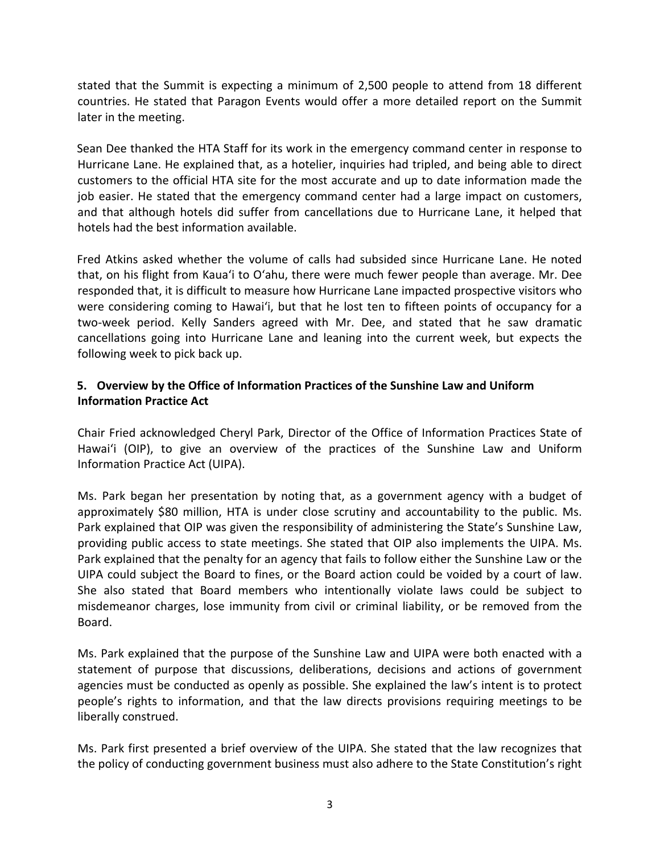stated that the Summit is expecting a minimum of 2,500 people to attend from 18 different countries. He stated that Paragon Events would offer a more detailed report on the Summit later in the meeting.

Sean Dee thanked the HTA Staff for its work in the emergency command center in response to Hurricane Lane. He explained that, as a hotelier, inquiries had tripled, and being able to direct customers to the official HTA site for the most accurate and up to date information made the job easier. He stated that the emergency command center had a large impact on customers, and that although hotels did suffer from cancellations due to Hurricane Lane, it helped that hotels had the best information available.

Fred Atkins asked whether the volume of calls had subsided since Hurricane Lane. He noted that, on his flight from Kaua'i to O'ahu, there were much fewer people than average. Mr. Dee responded that, it is difficult to measure how Hurricane Lane impacted prospective visitors who were considering coming to Hawai'i, but that he lost ten to fifteen points of occupancy for a two-week period. Kelly Sanders agreed with Mr. Dee, and stated that he saw dramatic cancellations going into Hurricane Lane and leaning into the current week, but expects the following week to pick back up.

# **5. Overview by the Office of Information Practices of the Sunshine Law and Uniform Information Practice Act**

Chair Fried acknowledged Cheryl Park, Director of the Office of Information Practices State of Hawai'i (OIP), to give an overview of the practices of the Sunshine Law and Uniform Information Practice Act (UIPA).

Ms. Park began her presentation by noting that, as a government agency with a budget of approximately \$80 million, HTA is under close scrutiny and accountability to the public. Ms. Park explained that OIP was given the responsibility of administering the State's Sunshine Law, providing public access to state meetings. She stated that OIP also implements the UIPA. Ms. Park explained that the penalty for an agency that fails to follow either the Sunshine Law or the UIPA could subject the Board to fines, or the Board action could be voided by a court of law. She also stated that Board members who intentionally violate laws could be subject to misdemeanor charges, lose immunity from civil or criminal liability, or be removed from the Board.

Ms. Park explained that the purpose of the Sunshine Law and UIPA were both enacted with a statement of purpose that discussions, deliberations, decisions and actions of government agencies must be conducted as openly as possible. She explained the law's intent is to protect people's rights to information, and that the law directs provisions requiring meetings to be liberally construed.

Ms. Park first presented a brief overview of the UIPA. She stated that the law recognizes that the policy of conducting government business must also adhere to the State Constitution's right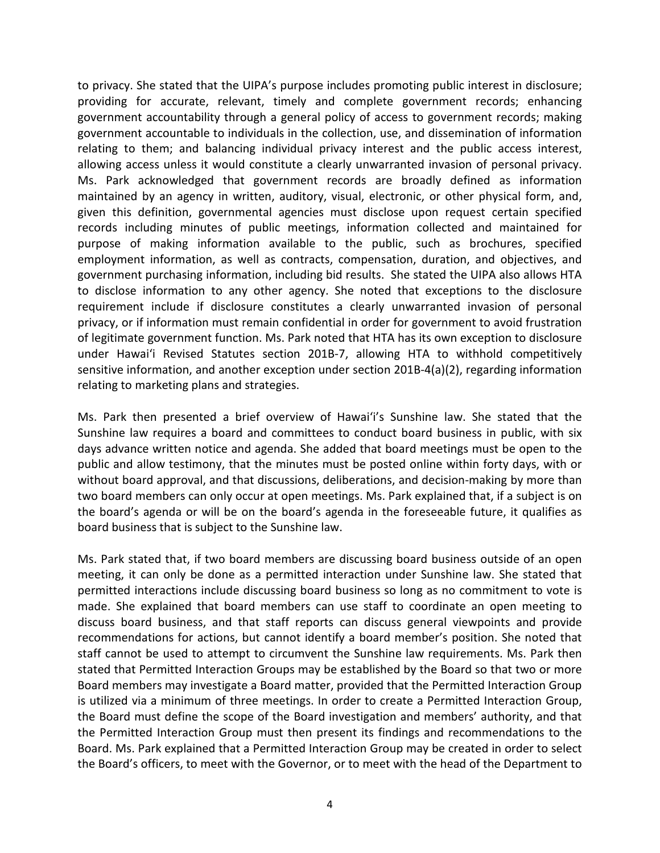to privacy. She stated that the UIPA's purpose includes promoting public interest in disclosure; providing for accurate, relevant, timely and complete government records; enhancing government accountability through a general policy of access to government records; making government accountable to individuals in the collection, use, and dissemination of information relating to them; and balancing individual privacy interest and the public access interest, allowing access unless it would constitute a clearly unwarranted invasion of personal privacy. Ms. Park acknowledged that government records are broadly defined as information maintained by an agency in written, auditory, visual, electronic, or other physical form, and, given this definition, governmental agencies must disclose upon request certain specified records including minutes of public meetings, information collected and maintained for purpose of making information available to the public, such as brochures, specified employment information, as well as contracts, compensation, duration, and objectives, and government purchasing information, including bid results. She stated the UIPA also allows HTA to disclose information to any other agency. She noted that exceptions to the disclosure requirement include if disclosure constitutes a clearly unwarranted invasion of personal privacy, or if information must remain confidential in order for government to avoid frustration of legitimate government function. Ms. Park noted that HTA has its own exception to disclosure under Hawai'i Revised Statutes section 201B-7, allowing HTA to withhold competitively sensitive information, and another exception under section 201B-4(a)(2), regarding information relating to marketing plans and strategies.

Ms. Park then presented a brief overview of Hawai'i's Sunshine law. She stated that the Sunshine law requires a board and committees to conduct board business in public, with six days advance written notice and agenda. She added that board meetings must be open to the public and allow testimony, that the minutes must be posted online within forty days, with or without board approval, and that discussions, deliberations, and decision-making by more than two board members can only occur at open meetings. Ms. Park explained that, if a subject is on the board's agenda or will be on the board's agenda in the foreseeable future, it qualifies as board business that is subject to the Sunshine law.

Ms. Park stated that, if two board members are discussing board business outside of an open meeting, it can only be done as a permitted interaction under Sunshine law. She stated that permitted interactions include discussing board business so long as no commitment to vote is made. She explained that board members can use staff to coordinate an open meeting to discuss board business, and that staff reports can discuss general viewpoints and provide recommendations for actions, but cannot identify a board member's position. She noted that staff cannot be used to attempt to circumvent the Sunshine law requirements. Ms. Park then stated that Permitted Interaction Groups may be established by the Board so that two or more Board members may investigate a Board matter, provided that the Permitted Interaction Group is utilized via a minimum of three meetings. In order to create a Permitted Interaction Group, the Board must define the scope of the Board investigation and members' authority, and that the Permitted Interaction Group must then present its findings and recommendations to the Board. Ms. Park explained that a Permitted Interaction Group may be created in order to select the Board's officers, to meet with the Governor, or to meet with the head of the Department to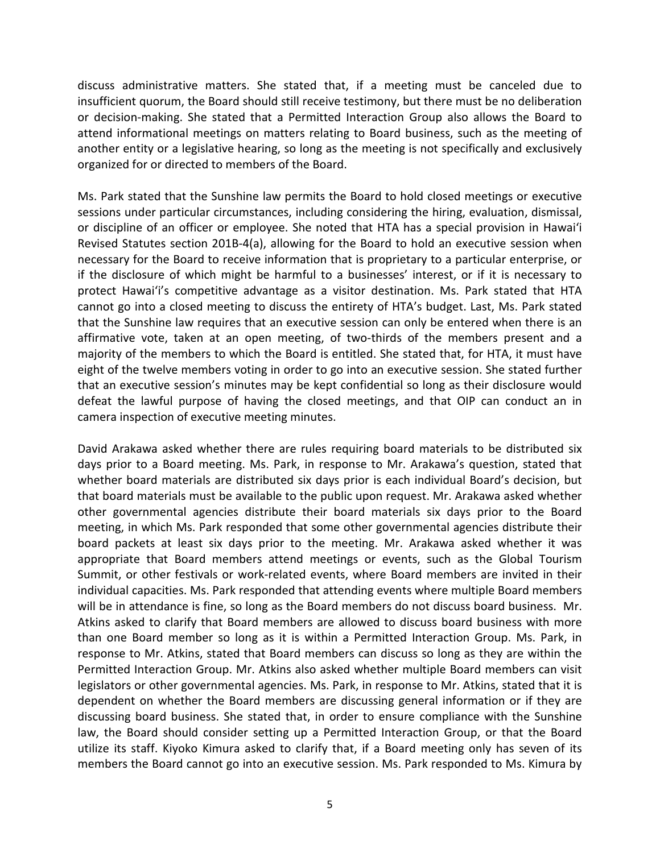discuss administrative matters. She stated that, if a meeting must be canceled due to insufficient quorum, the Board should still receive testimony, but there must be no deliberation or decision-making. She stated that a Permitted Interaction Group also allows the Board to attend informational meetings on matters relating to Board business, such as the meeting of another entity or a legislative hearing, so long as the meeting is not specifically and exclusively organized for or directed to members of the Board.

Ms. Park stated that the Sunshine law permits the Board to hold closed meetings or executive sessions under particular circumstances, including considering the hiring, evaluation, dismissal, or discipline of an officer or employee. She noted that HTA has a special provision in Hawai'i Revised Statutes section 201B-4(a), allowing for the Board to hold an executive session when necessary for the Board to receive information that is proprietary to a particular enterprise, or if the disclosure of which might be harmful to a businesses' interest, or if it is necessary to protect Hawai'i's competitive advantage as a visitor destination. Ms. Park stated that HTA cannot go into a closed meeting to discuss the entirety of HTA's budget. Last, Ms. Park stated that the Sunshine law requires that an executive session can only be entered when there is an affirmative vote, taken at an open meeting, of two-thirds of the members present and a majority of the members to which the Board is entitled. She stated that, for HTA, it must have eight of the twelve members voting in order to go into an executive session. She stated further that an executive session's minutes may be kept confidential so long as their disclosure would defeat the lawful purpose of having the closed meetings, and that OIP can conduct an in camera inspection of executive meeting minutes.

David Arakawa asked whether there are rules requiring board materials to be distributed six days prior to a Board meeting. Ms. Park, in response to Mr. Arakawa's question, stated that whether board materials are distributed six days prior is each individual Board's decision, but that board materials must be available to the public upon request. Mr. Arakawa asked whether other governmental agencies distribute their board materials six days prior to the Board meeting, in which Ms. Park responded that some other governmental agencies distribute their board packets at least six days prior to the meeting. Mr. Arakawa asked whether it was appropriate that Board members attend meetings or events, such as the Global Tourism Summit, or other festivals or work-related events, where Board members are invited in their individual capacities. Ms. Park responded that attending events where multiple Board members will be in attendance is fine, so long as the Board members do not discuss board business. Mr. Atkins asked to clarify that Board members are allowed to discuss board business with more than one Board member so long as it is within a Permitted Interaction Group. Ms. Park, in response to Mr. Atkins, stated that Board members can discuss so long as they are within the Permitted Interaction Group. Mr. Atkins also asked whether multiple Board members can visit legislators or other governmental agencies. Ms. Park, in response to Mr. Atkins, stated that it is dependent on whether the Board members are discussing general information or if they are discussing board business. She stated that, in order to ensure compliance with the Sunshine law, the Board should consider setting up a Permitted Interaction Group, or that the Board utilize its staff. Kiyoko Kimura asked to clarify that, if a Board meeting only has seven of its members the Board cannot go into an executive session. Ms. Park responded to Ms. Kimura by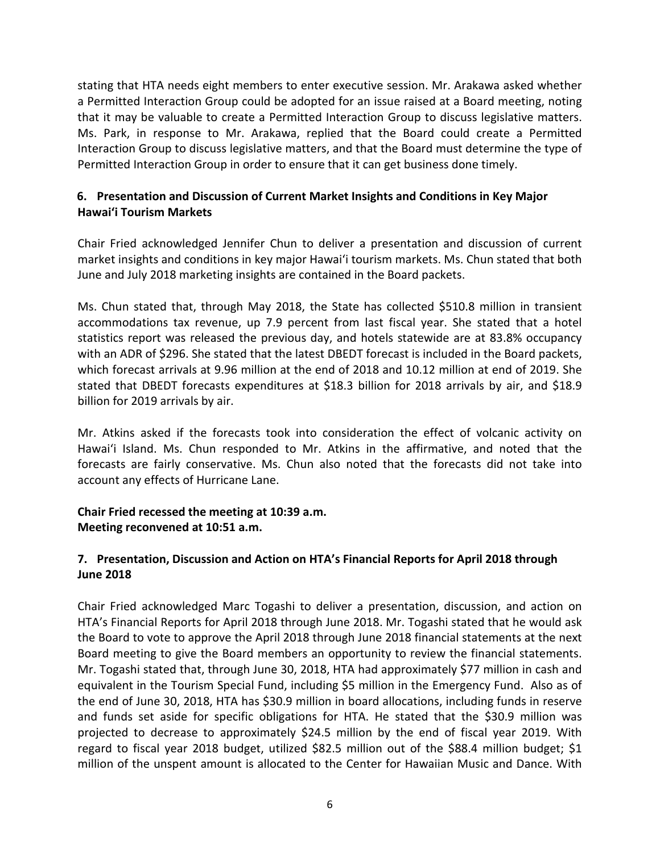stating that HTA needs eight members to enter executive session. Mr. Arakawa asked whether a Permitted Interaction Group could be adopted for an issue raised at a Board meeting, noting that it may be valuable to create a Permitted Interaction Group to discuss legislative matters. Ms. Park, in response to Mr. Arakawa, replied that the Board could create a Permitted Interaction Group to discuss legislative matters, and that the Board must determine the type of Permitted Interaction Group in order to ensure that it can get business done timely.

# **6. Presentation and Discussion of Current Market Insights and Conditions in Key Major Hawai'i Tourism Markets**

Chair Fried acknowledged Jennifer Chun to deliver a presentation and discussion of current market insights and conditions in key major Hawai'i tourism markets. Ms. Chun stated that both June and July 2018 marketing insights are contained in the Board packets.

Ms. Chun stated that, through May 2018, the State has collected \$510.8 million in transient accommodations tax revenue, up 7.9 percent from last fiscal year. She stated that a hotel statistics report was released the previous day, and hotels statewide are at 83.8% occupancy with an ADR of \$296. She stated that the latest DBEDT forecast is included in the Board packets, which forecast arrivals at 9.96 million at the end of 2018 and 10.12 million at end of 2019. She stated that DBEDT forecasts expenditures at \$18.3 billion for 2018 arrivals by air, and \$18.9 billion for 2019 arrivals by air.

Mr. Atkins asked if the forecasts took into consideration the effect of volcanic activity on Hawai'i Island. Ms. Chun responded to Mr. Atkins in the affirmative, and noted that the forecasts are fairly conservative. Ms. Chun also noted that the forecasts did not take into account any effects of Hurricane Lane.

### **Chair Fried recessed the meeting at 10:39 a.m. Meeting reconvened at 10:51 a.m.**

# **7. Presentation, Discussion and Action on HTA's Financial Reports for April 2018 through June 2018**

Chair Fried acknowledged Marc Togashi to deliver a presentation, discussion, and action on HTA's Financial Reports for April 2018 through June 2018. Mr. Togashi stated that he would ask the Board to vote to approve the April 2018 through June 2018 financial statements at the next Board meeting to give the Board members an opportunity to review the financial statements. Mr. Togashi stated that, through June 30, 2018, HTA had approximately \$77 million in cash and equivalent in the Tourism Special Fund, including \$5 million in the Emergency Fund. Also as of the end of June 30, 2018, HTA has \$30.9 million in board allocations, including funds in reserve and funds set aside for specific obligations for HTA. He stated that the \$30.9 million was projected to decrease to approximately \$24.5 million by the end of fiscal year 2019. With regard to fiscal year 2018 budget, utilized \$82.5 million out of the \$88.4 million budget; \$1 million of the unspent amount is allocated to the Center for Hawaiian Music and Dance. With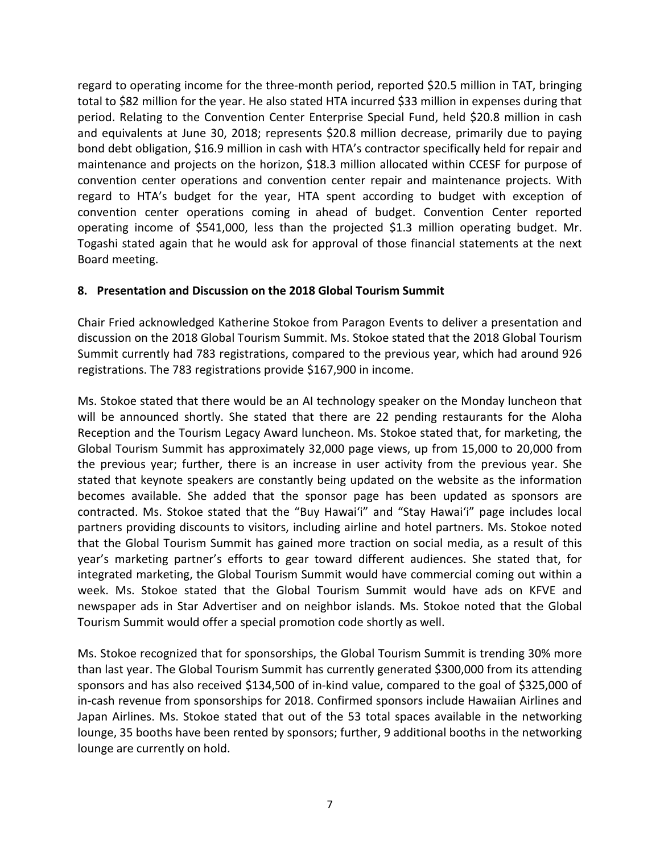regard to operating income for the three-month period, reported \$20.5 million in TAT, bringing total to \$82 million for the year. He also stated HTA incurred \$33 million in expenses during that period. Relating to the Convention Center Enterprise Special Fund, held \$20.8 million in cash and equivalents at June 30, 2018; represents \$20.8 million decrease, primarily due to paying bond debt obligation, \$16.9 million in cash with HTA's contractor specifically held for repair and maintenance and projects on the horizon, \$18.3 million allocated within CCESF for purpose of convention center operations and convention center repair and maintenance projects. With regard to HTA's budget for the year, HTA spent according to budget with exception of convention center operations coming in ahead of budget. Convention Center reported operating income of \$541,000, less than the projected \$1.3 million operating budget. Mr. Togashi stated again that he would ask for approval of those financial statements at the next Board meeting.

#### **8. Presentation and Discussion on the 2018 Global Tourism Summit**

Chair Fried acknowledged Katherine Stokoe from Paragon Events to deliver a presentation and discussion on the 2018 Global Tourism Summit. Ms. Stokoe stated that the 2018 Global Tourism Summit currently had 783 registrations, compared to the previous year, which had around 926 registrations. The 783 registrations provide \$167,900 in income.

Ms. Stokoe stated that there would be an AI technology speaker on the Monday luncheon that will be announced shortly. She stated that there are 22 pending restaurants for the Aloha Reception and the Tourism Legacy Award luncheon. Ms. Stokoe stated that, for marketing, the Global Tourism Summit has approximately 32,000 page views, up from 15,000 to 20,000 from the previous year; further, there is an increase in user activity from the previous year. She stated that keynote speakers are constantly being updated on the website as the information becomes available. She added that the sponsor page has been updated as sponsors are contracted. Ms. Stokoe stated that the "Buy Hawai'i" and "Stay Hawai'i" page includes local partners providing discounts to visitors, including airline and hotel partners. Ms. Stokoe noted that the Global Tourism Summit has gained more traction on social media, as a result of this year's marketing partner's efforts to gear toward different audiences. She stated that, for integrated marketing, the Global Tourism Summit would have commercial coming out within a week. Ms. Stokoe stated that the Global Tourism Summit would have ads on KFVE and newspaper ads in Star Advertiser and on neighbor islands. Ms. Stokoe noted that the Global Tourism Summit would offer a special promotion code shortly as well.

Ms. Stokoe recognized that for sponsorships, the Global Tourism Summit is trending 30% more than last year. The Global Tourism Summit has currently generated \$300,000 from its attending sponsors and has also received \$134,500 of in-kind value, compared to the goal of \$325,000 of in-cash revenue from sponsorships for 2018. Confirmed sponsors include Hawaiian Airlines and Japan Airlines. Ms. Stokoe stated that out of the 53 total spaces available in the networking lounge, 35 booths have been rented by sponsors; further, 9 additional booths in the networking lounge are currently on hold.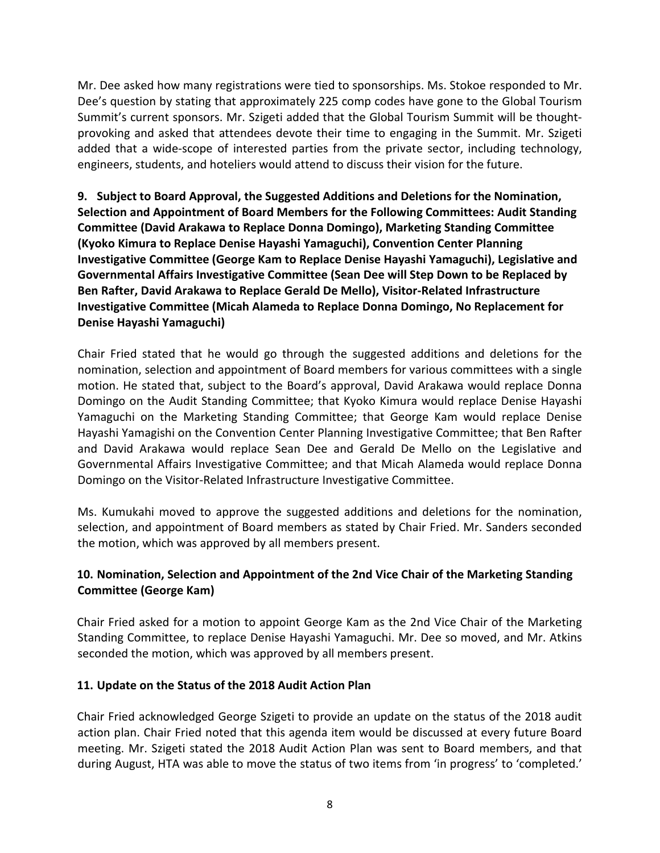Mr. Dee asked how many registrations were tied to sponsorships. Ms. Stokoe responded to Mr. Dee's question by stating that approximately 225 comp codes have gone to the Global Tourism Summit's current sponsors. Mr. Szigeti added that the Global Tourism Summit will be thoughtprovoking and asked that attendees devote their time to engaging in the Summit. Mr. Szigeti added that a wide-scope of interested parties from the private sector, including technology, engineers, students, and hoteliers would attend to discuss their vision for the future.

**9. Subject to Board Approval, the Suggested Additions and Deletions for the Nomination, Selection and Appointment of Board Members for the Following Committees: Audit Standing Committee (David Arakawa to Replace Donna Domingo), Marketing Standing Committee (Kyoko Kimura to Replace Denise Hayashi Yamaguchi), Convention Center Planning Investigative Committee (George Kam to Replace Denise Hayashi Yamaguchi), Legislative and Governmental Affairs Investigative Committee (Sean Dee will Step Down to be Replaced by Ben Rafter, David Arakawa to Replace Gerald De Mello), Visitor-Related Infrastructure Investigative Committee (Micah Alameda to Replace Donna Domingo, No Replacement for Denise Hayashi Yamaguchi)**

Chair Fried stated that he would go through the suggested additions and deletions for the nomination, selection and appointment of Board members for various committees with a single motion. He stated that, subject to the Board's approval, David Arakawa would replace Donna Domingo on the Audit Standing Committee; that Kyoko Kimura would replace Denise Hayashi Yamaguchi on the Marketing Standing Committee; that George Kam would replace Denise Hayashi Yamagishi on the Convention Center Planning Investigative Committee; that Ben Rafter and David Arakawa would replace Sean Dee and Gerald De Mello on the Legislative and Governmental Affairs Investigative Committee; and that Micah Alameda would replace Donna Domingo on the Visitor-Related Infrastructure Investigative Committee.

Ms. Kumukahi moved to approve the suggested additions and deletions for the nomination, selection, and appointment of Board members as stated by Chair Fried. Mr. Sanders seconded the motion, which was approved by all members present.

# **10. Nomination, Selection and Appointment of the 2nd Vice Chair of the Marketing Standing Committee (George Kam)**

Chair Fried asked for a motion to appoint George Kam as the 2nd Vice Chair of the Marketing Standing Committee, to replace Denise Hayashi Yamaguchi. Mr. Dee so moved, and Mr. Atkins seconded the motion, which was approved by all members present.

### **11. Update on the Status of the 2018 Audit Action Plan**

Chair Fried acknowledged George Szigeti to provide an update on the status of the 2018 audit action plan. Chair Fried noted that this agenda item would be discussed at every future Board meeting. Mr. Szigeti stated the 2018 Audit Action Plan was sent to Board members, and that during August, HTA was able to move the status of two items from 'in progress' to 'completed.'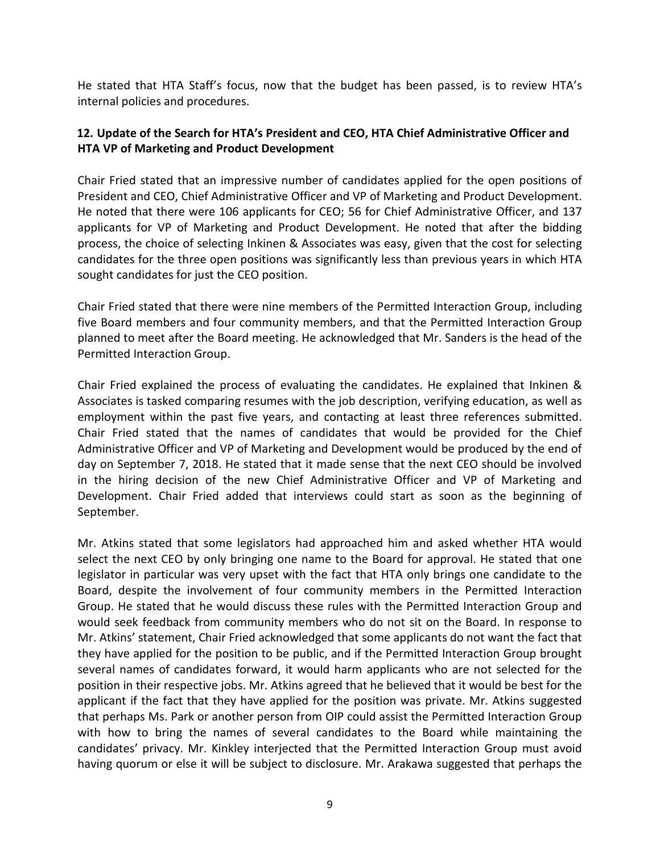He stated that HTA Staff's focus, now that the budget has been passed, is to review HTA's internal policies and procedures.

### **12. Update of the Search for HTA's President and CEO, HTA Chief Administrative Officer and HTA VP of Marketing and Product Development**

Chair Fried stated that an impressive number of candidates applied for the open positions of President and CEO, Chief Administrative Officer and VP of Marketing and Product Development. He noted that there were 106 applicants for CEO; 56 for Chief Administrative Officer, and 137 applicants for VP of Marketing and Product Development. He noted that after the bidding process, the choice of selecting Inkinen & Associates was easy, given that the cost for selecting candidates for the three open positions was significantly less than previous years in which HTA sought candidates for just the CEO position.

Chair Fried stated that there were nine members of the Permitted Interaction Group, including five Board members and four community members, and that the Permitted Interaction Group planned to meet after the Board meeting. He acknowledged that Mr. Sanders is the head of the Permitted Interaction Group.

Chair Fried explained the process of evaluating the candidates. He explained that Inkinen & Associates is tasked comparing resumes with the job description, verifying education, as well as employment within the past five years, and contacting at least three references submitted. Chair Fried stated that the names of candidates that would be provided for the Chief Administrative Officer and VP of Marketing and Development would be produced by the end of day on September 7, 2018. He stated that it made sense that the next CEO should be involved in the hiring decision of the new Chief Administrative Officer and VP of Marketing and Development. Chair Fried added that interviews could start as soon as the beginning of September.

Mr. Atkins stated that some legislators had approached him and asked whether HTA would select the next CEO by only bringing one name to the Board for approval. He stated that one legislator in particular was very upset with the fact that HTA only brings one candidate to the Board, despite the involvement of four community members in the Permitted Interaction Group. He stated that he would discuss these rules with the Permitted Interaction Group and would seek feedback from community members who do not sit on the Board. In response to Mr. Atkins' statement, Chair Fried acknowledged that some applicants do not want the fact that they have applied for the position to be public, and if the Permitted Interaction Group brought several names of candidates forward, it would harm applicants who are not selected for the position in their respective jobs. Mr. Atkins agreed that he believed that it would be best for the applicant if the fact that they have applied for the position was private. Mr. Atkins suggested that perhaps Ms. Park or another person from OIP could assist the Permitted Interaction Group with how to bring the names of several candidates to the Board while maintaining the candidates' privacy. Mr. Kinkley interjected that the Permitted Interaction Group must avoid having quorum or else it will be subject to disclosure. Mr. Arakawa suggested that perhaps the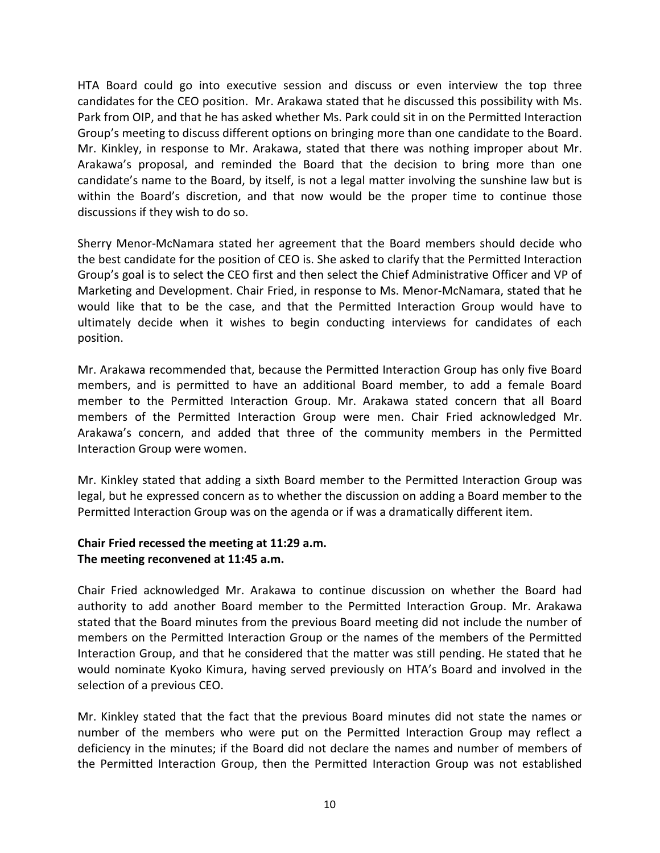HTA Board could go into executive session and discuss or even interview the top three candidates for the CEO position. Mr. Arakawa stated that he discussed this possibility with Ms. Park from OIP, and that he has asked whether Ms. Park could sit in on the Permitted Interaction Group's meeting to discuss different options on bringing more than one candidate to the Board. Mr. Kinkley, in response to Mr. Arakawa, stated that there was nothing improper about Mr. Arakawa's proposal, and reminded the Board that the decision to bring more than one candidate's name to the Board, by itself, is not a legal matter involving the sunshine law but is within the Board's discretion, and that now would be the proper time to continue those discussions if they wish to do so.

Sherry Menor-McNamara stated her agreement that the Board members should decide who the best candidate for the position of CEO is. She asked to clarify that the Permitted Interaction Group's goal is to select the CEO first and then select the Chief Administrative Officer and VP of Marketing and Development. Chair Fried, in response to Ms. Menor-McNamara, stated that he would like that to be the case, and that the Permitted Interaction Group would have to ultimately decide when it wishes to begin conducting interviews for candidates of each position.

Mr. Arakawa recommended that, because the Permitted Interaction Group has only five Board members, and is permitted to have an additional Board member, to add a female Board member to the Permitted Interaction Group. Mr. Arakawa stated concern that all Board members of the Permitted Interaction Group were men. Chair Fried acknowledged Mr. Arakawa's concern, and added that three of the community members in the Permitted Interaction Group were women.

Mr. Kinkley stated that adding a sixth Board member to the Permitted Interaction Group was legal, but he expressed concern as to whether the discussion on adding a Board member to the Permitted Interaction Group was on the agenda or if was a dramatically different item.

#### **Chair Fried recessed the meeting at 11:29 a.m. The meeting reconvened at 11:45 a.m.**

Chair Fried acknowledged Mr. Arakawa to continue discussion on whether the Board had authority to add another Board member to the Permitted Interaction Group. Mr. Arakawa stated that the Board minutes from the previous Board meeting did not include the number of members on the Permitted Interaction Group or the names of the members of the Permitted Interaction Group, and that he considered that the matter was still pending. He stated that he would nominate Kyoko Kimura, having served previously on HTA's Board and involved in the selection of a previous CEO.

Mr. Kinkley stated that the fact that the previous Board minutes did not state the names or number of the members who were put on the Permitted Interaction Group may reflect a deficiency in the minutes; if the Board did not declare the names and number of members of the Permitted Interaction Group, then the Permitted Interaction Group was not established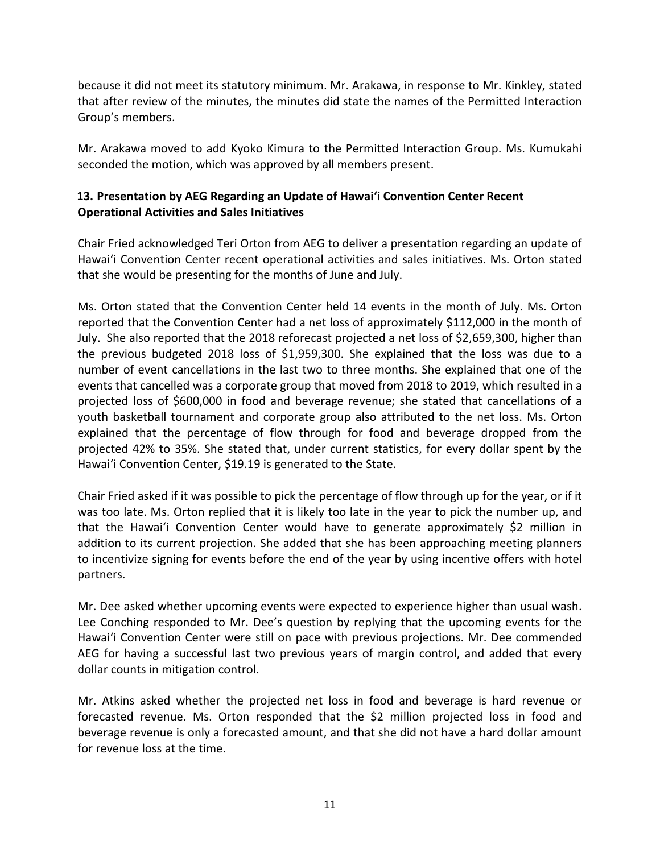because it did not meet its statutory minimum. Mr. Arakawa, in response to Mr. Kinkley, stated that after review of the minutes, the minutes did state the names of the Permitted Interaction Group's members.

Mr. Arakawa moved to add Kyoko Kimura to the Permitted Interaction Group. Ms. Kumukahi seconded the motion, which was approved by all members present.

# **13. Presentation by AEG Regarding an Update of Hawai'i Convention Center Recent Operational Activities and Sales Initiatives**

Chair Fried acknowledged Teri Orton from AEG to deliver a presentation regarding an update of Hawai'i Convention Center recent operational activities and sales initiatives. Ms. Orton stated that she would be presenting for the months of June and July.

Ms. Orton stated that the Convention Center held 14 events in the month of July. Ms. Orton reported that the Convention Center had a net loss of approximately \$112,000 in the month of July. She also reported that the 2018 reforecast projected a net loss of \$2,659,300, higher than the previous budgeted 2018 loss of \$1,959,300. She explained that the loss was due to a number of event cancellations in the last two to three months. She explained that one of the events that cancelled was a corporate group that moved from 2018 to 2019, which resulted in a projected loss of \$600,000 in food and beverage revenue; she stated that cancellations of a youth basketball tournament and corporate group also attributed to the net loss. Ms. Orton explained that the percentage of flow through for food and beverage dropped from the projected 42% to 35%. She stated that, under current statistics, for every dollar spent by the Hawai'i Convention Center, \$19.19 is generated to the State.

Chair Fried asked if it was possible to pick the percentage of flow through up for the year, or if it was too late. Ms. Orton replied that it is likely too late in the year to pick the number up, and that the Hawai'i Convention Center would have to generate approximately \$2 million in addition to its current projection. She added that she has been approaching meeting planners to incentivize signing for events before the end of the year by using incentive offers with hotel partners.

Mr. Dee asked whether upcoming events were expected to experience higher than usual wash. Lee Conching responded to Mr. Dee's question by replying that the upcoming events for the Hawai'i Convention Center were still on pace with previous projections. Mr. Dee commended AEG for having a successful last two previous years of margin control, and added that every dollar counts in mitigation control.

Mr. Atkins asked whether the projected net loss in food and beverage is hard revenue or forecasted revenue. Ms. Orton responded that the \$2 million projected loss in food and beverage revenue is only a forecasted amount, and that she did not have a hard dollar amount for revenue loss at the time.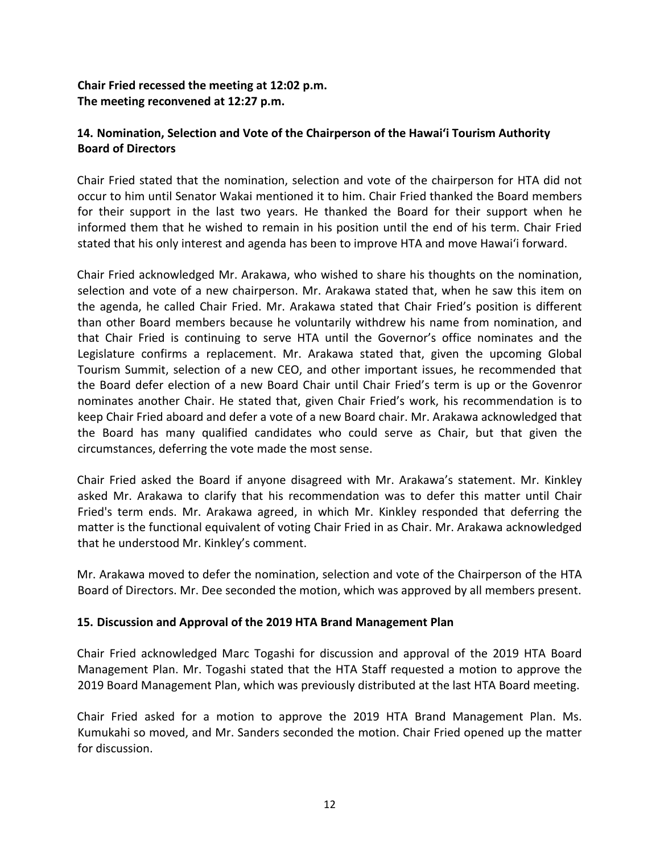# **Chair Fried recessed the meeting at 12:02 p.m. The meeting reconvened at 12:27 p.m.**

# **14. Nomination, Selection and Vote of the Chairperson of the Hawai'i Tourism Authority Board of Directors**

Chair Fried stated that the nomination, selection and vote of the chairperson for HTA did not occur to him until Senator Wakai mentioned it to him. Chair Fried thanked the Board members for their support in the last two years. He thanked the Board for their support when he informed them that he wished to remain in his position until the end of his term. Chair Fried stated that his only interest and agenda has been to improve HTA and move Hawai'i forward.

Chair Fried acknowledged Mr. Arakawa, who wished to share his thoughts on the nomination, selection and vote of a new chairperson. Mr. Arakawa stated that, when he saw this item on the agenda, he called Chair Fried. Mr. Arakawa stated that Chair Fried's position is different than other Board members because he voluntarily withdrew his name from nomination, and that Chair Fried is continuing to serve HTA until the Governor's office nominates and the Legislature confirms a replacement. Mr. Arakawa stated that, given the upcoming Global Tourism Summit, selection of a new CEO, and other important issues, he recommended that the Board defer election of a new Board Chair until Chair Fried's term is up or the Govenror nominates another Chair. He stated that, given Chair Fried's work, his recommendation is to keep Chair Fried aboard and defer a vote of a new Board chair. Mr. Arakawa acknowledged that the Board has many qualified candidates who could serve as Chair, but that given the circumstances, deferring the vote made the most sense.

Chair Fried asked the Board if anyone disagreed with Mr. Arakawa's statement. Mr. Kinkley asked Mr. Arakawa to clarify that his recommendation was to defer this matter until Chair Fried's term ends. Mr. Arakawa agreed, in which Mr. Kinkley responded that deferring the matter is the functional equivalent of voting Chair Fried in as Chair. Mr. Arakawa acknowledged that he understood Mr. Kinkley's comment.

Mr. Arakawa moved to defer the nomination, selection and vote of the Chairperson of the HTA Board of Directors. Mr. Dee seconded the motion, which was approved by all members present.

### **15. Discussion and Approval of the 2019 HTA Brand Management Plan**

Chair Fried acknowledged Marc Togashi for discussion and approval of the 2019 HTA Board Management Plan. Mr. Togashi stated that the HTA Staff requested a motion to approve the 2019 Board Management Plan, which was previously distributed at the last HTA Board meeting.

Chair Fried asked for a motion to approve the 2019 HTA Brand Management Plan. Ms. Kumukahi so moved, and Mr. Sanders seconded the motion. Chair Fried opened up the matter for discussion.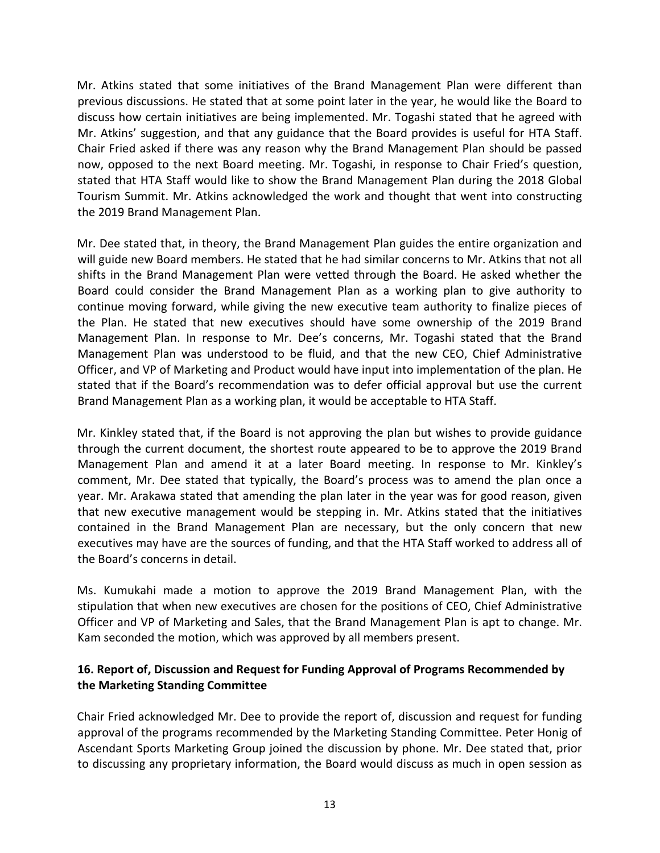Mr. Atkins stated that some initiatives of the Brand Management Plan were different than previous discussions. He stated that at some point later in the year, he would like the Board to discuss how certain initiatives are being implemented. Mr. Togashi stated that he agreed with Mr. Atkins' suggestion, and that any guidance that the Board provides is useful for HTA Staff. Chair Fried asked if there was any reason why the Brand Management Plan should be passed now, opposed to the next Board meeting. Mr. Togashi, in response to Chair Fried's question, stated that HTA Staff would like to show the Brand Management Plan during the 2018 Global Tourism Summit. Mr. Atkins acknowledged the work and thought that went into constructing the 2019 Brand Management Plan.

Mr. Dee stated that, in theory, the Brand Management Plan guides the entire organization and will guide new Board members. He stated that he had similar concerns to Mr. Atkins that not all shifts in the Brand Management Plan were vetted through the Board. He asked whether the Board could consider the Brand Management Plan as a working plan to give authority to continue moving forward, while giving the new executive team authority to finalize pieces of the Plan. He stated that new executives should have some ownership of the 2019 Brand Management Plan. In response to Mr. Dee's concerns, Mr. Togashi stated that the Brand Management Plan was understood to be fluid, and that the new CEO, Chief Administrative Officer, and VP of Marketing and Product would have input into implementation of the plan. He stated that if the Board's recommendation was to defer official approval but use the current Brand Management Plan as a working plan, it would be acceptable to HTA Staff.

Mr. Kinkley stated that, if the Board is not approving the plan but wishes to provide guidance through the current document, the shortest route appeared to be to approve the 2019 Brand Management Plan and amend it at a later Board meeting. In response to Mr. Kinkley's comment, Mr. Dee stated that typically, the Board's process was to amend the plan once a year. Mr. Arakawa stated that amending the plan later in the year was for good reason, given that new executive management would be stepping in. Mr. Atkins stated that the initiatives contained in the Brand Management Plan are necessary, but the only concern that new executives may have are the sources of funding, and that the HTA Staff worked to address all of the Board's concerns in detail.

Ms. Kumukahi made a motion to approve the 2019 Brand Management Plan, with the stipulation that when new executives are chosen for the positions of CEO, Chief Administrative Officer and VP of Marketing and Sales, that the Brand Management Plan is apt to change. Mr. Kam seconded the motion, which was approved by all members present.

### **16. Report of, Discussion and Request for Funding Approval of Programs Recommended by the Marketing Standing Committee**

Chair Fried acknowledged Mr. Dee to provide the report of, discussion and request for funding approval of the programs recommended by the Marketing Standing Committee. Peter Honig of Ascendant Sports Marketing Group joined the discussion by phone. Mr. Dee stated that, prior to discussing any proprietary information, the Board would discuss as much in open session as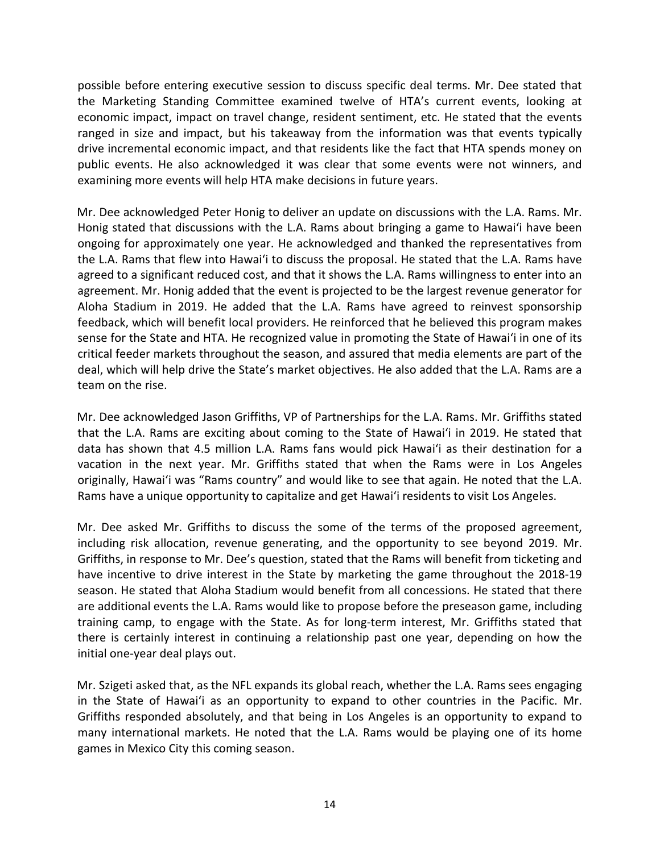possible before entering executive session to discuss specific deal terms. Mr. Dee stated that the Marketing Standing Committee examined twelve of HTA's current events, looking at economic impact, impact on travel change, resident sentiment, etc. He stated that the events ranged in size and impact, but his takeaway from the information was that events typically drive incremental economic impact, and that residents like the fact that HTA spends money on public events. He also acknowledged it was clear that some events were not winners, and examining more events will help HTA make decisions in future years.

Mr. Dee acknowledged Peter Honig to deliver an update on discussions with the L.A. Rams. Mr. Honig stated that discussions with the L.A. Rams about bringing a game to Hawai'i have been ongoing for approximately one year. He acknowledged and thanked the representatives from the L.A. Rams that flew into Hawai'i to discuss the proposal. He stated that the L.A. Rams have agreed to a significant reduced cost, and that it shows the L.A. Rams willingness to enter into an agreement. Mr. Honig added that the event is projected to be the largest revenue generator for Aloha Stadium in 2019. He added that the L.A. Rams have agreed to reinvest sponsorship feedback, which will benefit local providers. He reinforced that he believed this program makes sense for the State and HTA. He recognized value in promoting the State of Hawai'i in one of its critical feeder markets throughout the season, and assured that media elements are part of the deal, which will help drive the State's market objectives. He also added that the L.A. Rams are a team on the rise.

Mr. Dee acknowledged Jason Griffiths, VP of Partnerships for the L.A. Rams. Mr. Griffiths stated that the L.A. Rams are exciting about coming to the State of Hawai'i in 2019. He stated that data has shown that 4.5 million L.A. Rams fans would pick Hawai'i as their destination for a vacation in the next year. Mr. Griffiths stated that when the Rams were in Los Angeles originally, Hawai'i was "Rams country" and would like to see that again. He noted that the L.A. Rams have a unique opportunity to capitalize and get Hawai'i residents to visit Los Angeles.

Mr. Dee asked Mr. Griffiths to discuss the some of the terms of the proposed agreement, including risk allocation, revenue generating, and the opportunity to see beyond 2019. Mr. Griffiths, in response to Mr. Dee's question, stated that the Rams will benefit from ticketing and have incentive to drive interest in the State by marketing the game throughout the 2018-19 season. He stated that Aloha Stadium would benefit from all concessions. He stated that there are additional events the L.A. Rams would like to propose before the preseason game, including training camp, to engage with the State. As for long-term interest, Mr. Griffiths stated that there is certainly interest in continuing a relationship past one year, depending on how the initial one-year deal plays out.

Mr. Szigeti asked that, as the NFL expands its global reach, whether the L.A. Rams sees engaging in the State of Hawai'i as an opportunity to expand to other countries in the Pacific. Mr. Griffiths responded absolutely, and that being in Los Angeles is an opportunity to expand to many international markets. He noted that the L.A. Rams would be playing one of its home games in Mexico City this coming season.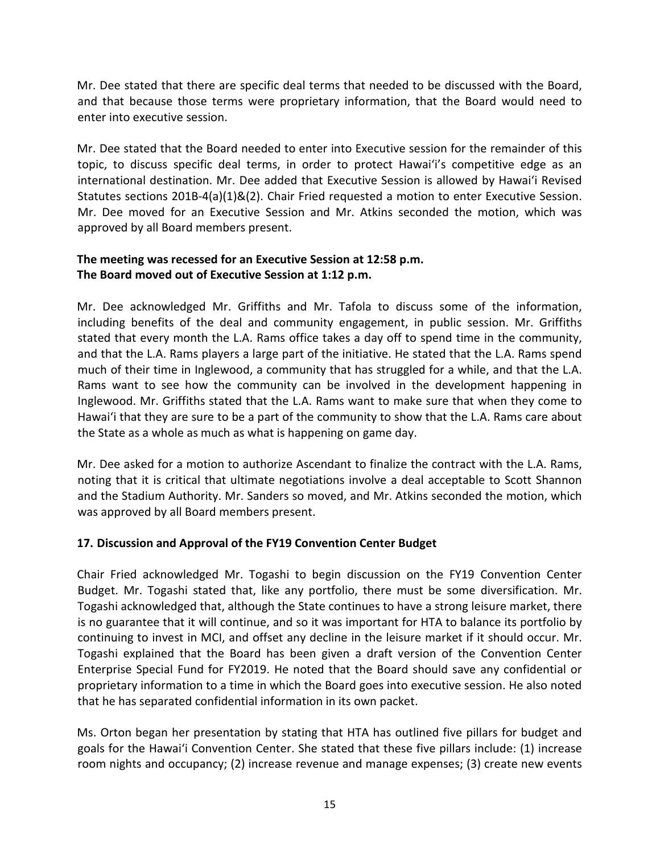Mr. Dee stated that there are specific deal terms that needed to be discussed with the Board, and that because those terms were proprietary information, that the Board would need to enter into executive session.

Mr. Dee stated that the Board needed to enter into Executive session for the remainder of this topic, to discuss specific deal terms, in order to protect Hawai'i's competitive edge as an international destination. Mr. Dee added that Executive Session is allowed by Hawai'i Revised Statutes sections 201B-4(a)(1)&(2). Chair Fried requested a motion to enter Executive Session. Mr. Dee moved for an Executive Session and Mr. Atkins seconded the motion, which was approved by all Board members present.

# **The meeting was recessed for an Executive Session at 12:58 p.m. The Board moved out of Executive Session at 1:12 p.m.**

Mr. Dee acknowledged Mr. Griffiths and Mr. Tafola to discuss some of the information, including benefits of the deal and community engagement, in public session. Mr. Griffiths stated that every month the L.A. Rams office takes a day off to spend time in the community, and that the L.A. Rams players a large part of the initiative. He stated that the L.A. Rams spend much of their time in Inglewood, a community that has struggled for a while, and that the L.A. Rams want to see how the community can be involved in the development happening in Inglewood. Mr. Griffiths stated that the L.A. Rams want to make sure that when they come to Hawai'i that they are sure to be a part of the community to show that the L.A. Rams care about the State as a whole as much as what is happening on game day.

Mr. Dee asked for a motion to authorize Ascendant to finalize the contract with the L.A. Rams, noting that it is critical that ultimate negotiations involve a deal acceptable to Scott Shannon and the Stadium Authority. Mr. Sanders so moved, and Mr. Atkins seconded the motion, which was approved by all Board members present.

### **17. Discussion and Approval of the FY19 Convention Center Budget**

Chair Fried acknowledged Mr. Togashi to begin discussion on the FY19 Convention Center Budget. Mr. Togashi stated that, like any portfolio, there must be some diversification. Mr. Togashi acknowledged that, although the State continues to have a strong leisure market, there is no guarantee that it will continue, and so it was important for HTA to balance its portfolio by continuing to invest in MCI, and offset any decline in the leisure market if it should occur. Mr. Togashi explained that the Board has been given a draft version of the Convention Center Enterprise Special Fund for FY2019. He noted that the Board should save any confidential or proprietary information to a time in which the Board goes into executive session. He also noted that he has separated confidential information in its own packet.

Ms. Orton began her presentation by stating that HTA has outlined five pillars for budget and goals for the Hawai'i Convention Center. She stated that these five pillars include: (1) increase room nights and occupancy; (2) increase revenue and manage expenses; (3) create new events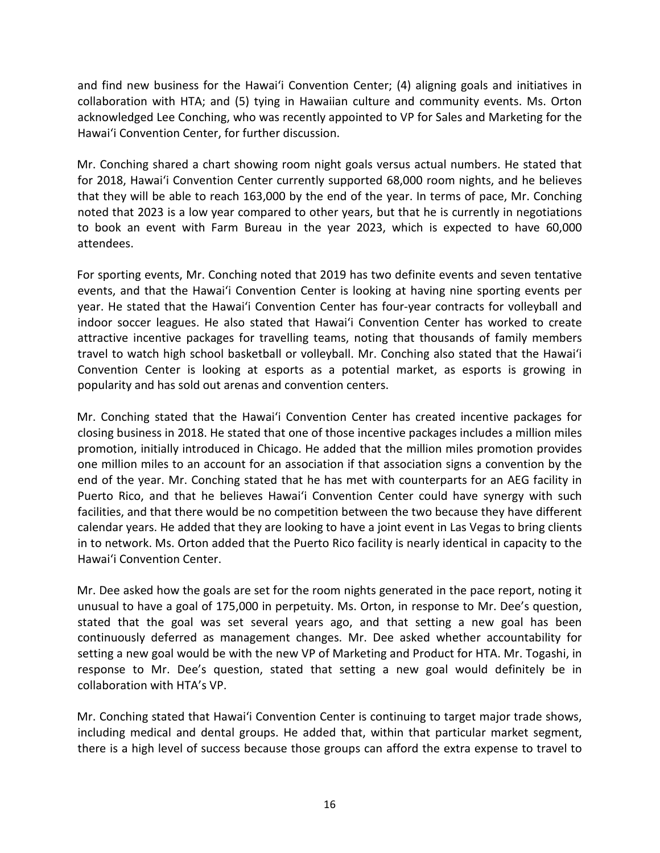and find new business for the Hawai'i Convention Center; (4) aligning goals and initiatives in collaboration with HTA; and (5) tying in Hawaiian culture and community events. Ms. Orton acknowledged Lee Conching, who was recently appointed to VP for Sales and Marketing for the Hawai'i Convention Center, for further discussion.

Mr. Conching shared a chart showing room night goals versus actual numbers. He stated that for 2018, Hawai'i Convention Center currently supported 68,000 room nights, and he believes that they will be able to reach 163,000 by the end of the year. In terms of pace, Mr. Conching noted that 2023 is a low year compared to other years, but that he is currently in negotiations to book an event with Farm Bureau in the year 2023, which is expected to have 60,000 attendees.

For sporting events, Mr. Conching noted that 2019 has two definite events and seven tentative events, and that the Hawai'i Convention Center is looking at having nine sporting events per year. He stated that the Hawai'i Convention Center has four-year contracts for volleyball and indoor soccer leagues. He also stated that Hawai'i Convention Center has worked to create attractive incentive packages for travelling teams, noting that thousands of family members travel to watch high school basketball or volleyball. Mr. Conching also stated that the Hawai'i Convention Center is looking at esports as a potential market, as esports is growing in popularity and has sold out arenas and convention centers.

Mr. Conching stated that the Hawai'i Convention Center has created incentive packages for closing business in 2018. He stated that one of those incentive packages includes a million miles promotion, initially introduced in Chicago. He added that the million miles promotion provides one million miles to an account for an association if that association signs a convention by the end of the year. Mr. Conching stated that he has met with counterparts for an AEG facility in Puerto Rico, and that he believes Hawai'i Convention Center could have synergy with such facilities, and that there would be no competition between the two because they have different calendar years. He added that they are looking to have a joint event in Las Vegas to bring clients in to network. Ms. Orton added that the Puerto Rico facility is nearly identical in capacity to the Hawai'i Convention Center.

Mr. Dee asked how the goals are set for the room nights generated in the pace report, noting it unusual to have a goal of 175,000 in perpetuity. Ms. Orton, in response to Mr. Dee's question, stated that the goal was set several years ago, and that setting a new goal has been continuously deferred as management changes. Mr. Dee asked whether accountability for setting a new goal would be with the new VP of Marketing and Product for HTA. Mr. Togashi, in response to Mr. Dee's question, stated that setting a new goal would definitely be in collaboration with HTA's VP.

Mr. Conching stated that Hawai'i Convention Center is continuing to target major trade shows, including medical and dental groups. He added that, within that particular market segment, there is a high level of success because those groups can afford the extra expense to travel to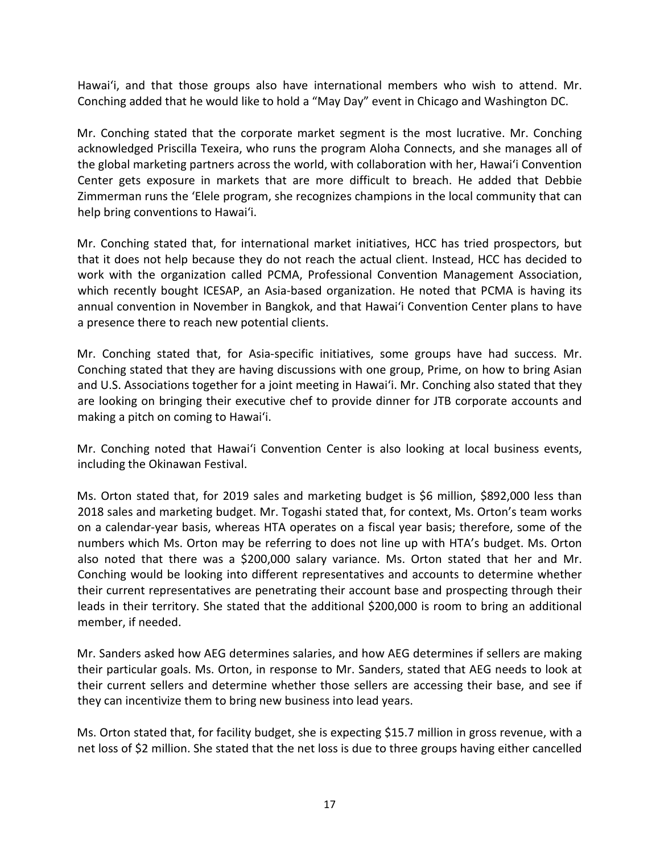Hawai'i, and that those groups also have international members who wish to attend. Mr. Conching added that he would like to hold a "May Day" event in Chicago and Washington DC.

Mr. Conching stated that the corporate market segment is the most lucrative. Mr. Conching acknowledged Priscilla Texeira, who runs the program Aloha Connects, and she manages all of the global marketing partners across the world, with collaboration with her, Hawai'i Convention Center gets exposure in markets that are more difficult to breach. He added that Debbie Zimmerman runs the 'Elele program, she recognizes champions in the local community that can help bring conventions to Hawai'i.

Mr. Conching stated that, for international market initiatives, HCC has tried prospectors, but that it does not help because they do not reach the actual client. Instead, HCC has decided to work with the organization called PCMA, Professional Convention Management Association, which recently bought ICESAP, an Asia-based organization. He noted that PCMA is having its annual convention in November in Bangkok, and that Hawai'i Convention Center plans to have a presence there to reach new potential clients.

Mr. Conching stated that, for Asia-specific initiatives, some groups have had success. Mr. Conching stated that they are having discussions with one group, Prime, on how to bring Asian and U.S. Associations together for a joint meeting in Hawai'i. Mr. Conching also stated that they are looking on bringing their executive chef to provide dinner for JTB corporate accounts and making a pitch on coming to Hawai'i.

Mr. Conching noted that Hawai'i Convention Center is also looking at local business events, including the Okinawan Festival.

Ms. Orton stated that, for 2019 sales and marketing budget is \$6 million, \$892,000 less than 2018 sales and marketing budget. Mr. Togashi stated that, for context, Ms. Orton's team works on a calendar-year basis, whereas HTA operates on a fiscal year basis; therefore, some of the numbers which Ms. Orton may be referring to does not line up with HTA's budget. Ms. Orton also noted that there was a \$200,000 salary variance. Ms. Orton stated that her and Mr. Conching would be looking into different representatives and accounts to determine whether their current representatives are penetrating their account base and prospecting through their leads in their territory. She stated that the additional \$200,000 is room to bring an additional member, if needed.

Mr. Sanders asked how AEG determines salaries, and how AEG determines if sellers are making their particular goals. Ms. Orton, in response to Mr. Sanders, stated that AEG needs to look at their current sellers and determine whether those sellers are accessing their base, and see if they can incentivize them to bring new business into lead years.

Ms. Orton stated that, for facility budget, she is expecting \$15.7 million in gross revenue, with a net loss of \$2 million. She stated that the net loss is due to three groups having either cancelled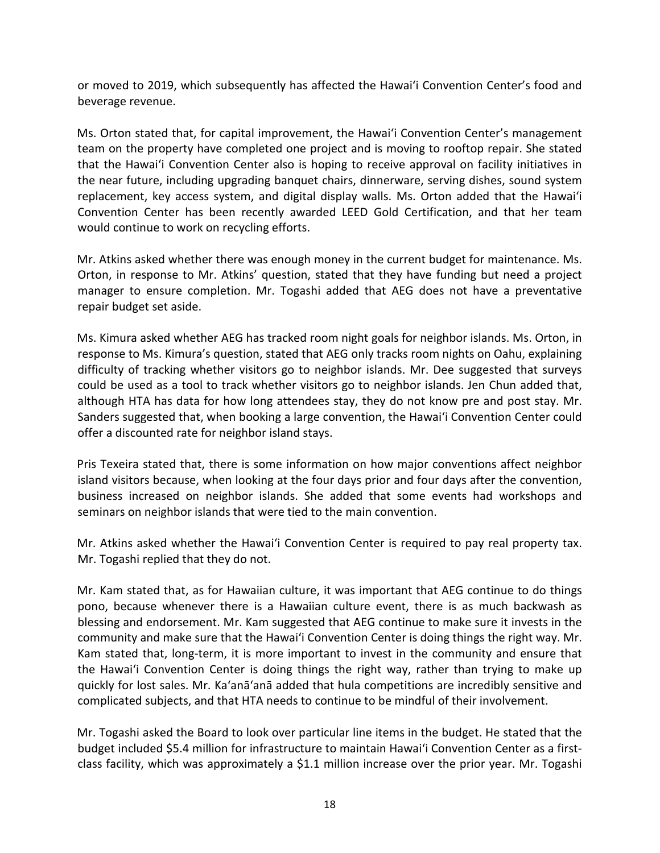or moved to 2019, which subsequently has affected the Hawai'i Convention Center's food and beverage revenue.

Ms. Orton stated that, for capital improvement, the Hawai'i Convention Center's management team on the property have completed one project and is moving to rooftop repair. She stated that the Hawai'i Convention Center also is hoping to receive approval on facility initiatives in the near future, including upgrading banquet chairs, dinnerware, serving dishes, sound system replacement, key access system, and digital display walls. Ms. Orton added that the Hawai'i Convention Center has been recently awarded LEED Gold Certification, and that her team would continue to work on recycling efforts.

Mr. Atkins asked whether there was enough money in the current budget for maintenance. Ms. Orton, in response to Mr. Atkins' question, stated that they have funding but need a project manager to ensure completion. Mr. Togashi added that AEG does not have a preventative repair budget set aside.

Ms. Kimura asked whether AEG has tracked room night goals for neighbor islands. Ms. Orton, in response to Ms. Kimura's question, stated that AEG only tracks room nights on Oahu, explaining difficulty of tracking whether visitors go to neighbor islands. Mr. Dee suggested that surveys could be used as a tool to track whether visitors go to neighbor islands. Jen Chun added that, although HTA has data for how long attendees stay, they do not know pre and post stay. Mr. Sanders suggested that, when booking a large convention, the Hawai'i Convention Center could offer a discounted rate for neighbor island stays.

Pris Texeira stated that, there is some information on how major conventions affect neighbor island visitors because, when looking at the four days prior and four days after the convention, business increased on neighbor islands. She added that some events had workshops and seminars on neighbor islands that were tied to the main convention.

Mr. Atkins asked whether the Hawai'i Convention Center is required to pay real property tax. Mr. Togashi replied that they do not.

Mr. Kam stated that, as for Hawaiian culture, it was important that AEG continue to do things pono, because whenever there is a Hawaiian culture event, there is as much backwash as blessing and endorsement. Mr. Kam suggested that AEG continue to make sure it invests in the community and make sure that the Hawai'i Convention Center is doing things the right way. Mr. Kam stated that, long-term, it is more important to invest in the community and ensure that the Hawai'i Convention Center is doing things the right way, rather than trying to make up quickly for lost sales. Mr. Ka'anā'anā added that hula competitions are incredibly sensitive and complicated subjects, and that HTA needs to continue to be mindful of their involvement.

Mr. Togashi asked the Board to look over particular line items in the budget. He stated that the budget included \$5.4 million for infrastructure to maintain Hawai'i Convention Center as a firstclass facility, which was approximately a \$1.1 million increase over the prior year. Mr. Togashi